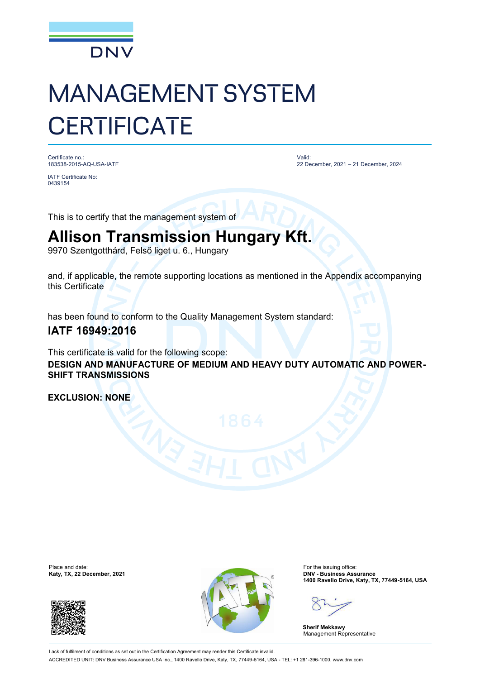

# MANAGEMENT SYSTEM **CERTIFICATE**

Certificate no.: 183538-2015-AQ-USA-IATF

IATF Certificate No: 0439154

Valid: 22 December, 2021 – 21 December, 2024

This is to certify that the management system of

## **Allison Transmission Hungary Kft.**

9970 Szentgotthárd, Felső liget u. 6., Hungary

and, if applicable, the remote supporting locations as mentioned in the Appendix accompanying this Certificate

has been found to conform to the Quality Management System standard:

### **IATF 16949:2016**

This certificate is valid for the following scope: **DESIGN AND MANUFACTURE OF MEDIUM AND HEAVY DUTY AUTOMATIC AND POWER-SHIFT TRANSMISSIONS**

**EXCLUSION: NONE**





**1400 Ravello Drive, Katy, TX, 77449-5164, USA**

**Sherif Mekkawy** Management Representative